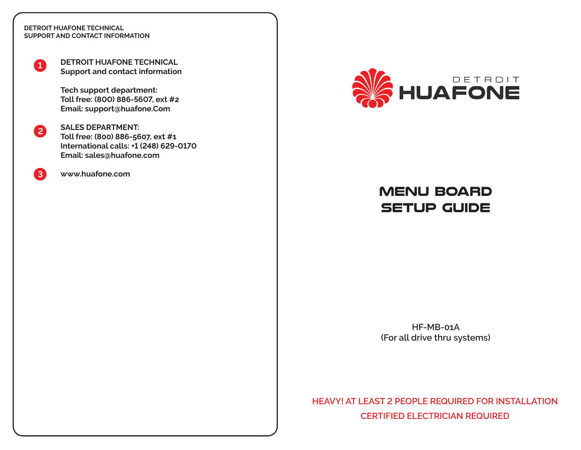#### **DETROIT HUAFONE TECHNICAL SUPPORT AND CONTACT INFORMATION**

**1**

**DETROIT HUAFONE TECHNICAL Support and contact information**

**Tech support department: Toll free: (800) 886-5607, ext #2 Email: support@huafone.Com**

**2 SALES DEPARTMENT: Toll free: (800) 886-5607, ext #1 International calls: +1 (248) 629-0170 Email: sales@huafone.com**

**3 www.huafone.com**



## **MENU BOARD SETUP GUIDE**

**HF-MB-01A (For all drive thru systems)**

**HEAVY! AT LEAST 2 PEOPLE REQUIRED FOR INSTALLATION CERTIFIED ELECTRICIAN REQUIRED**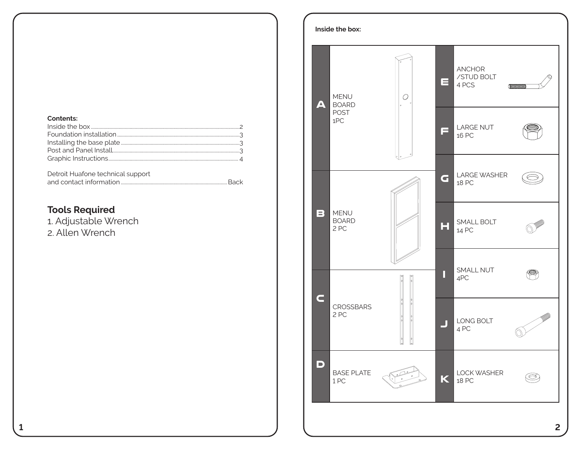#### **Contents:**

| Detroit Huafone technical support |  |
|-----------------------------------|--|
|                                   |  |

## **Tools Required**

1. Adjustable Wrench 2. Allen Wrench